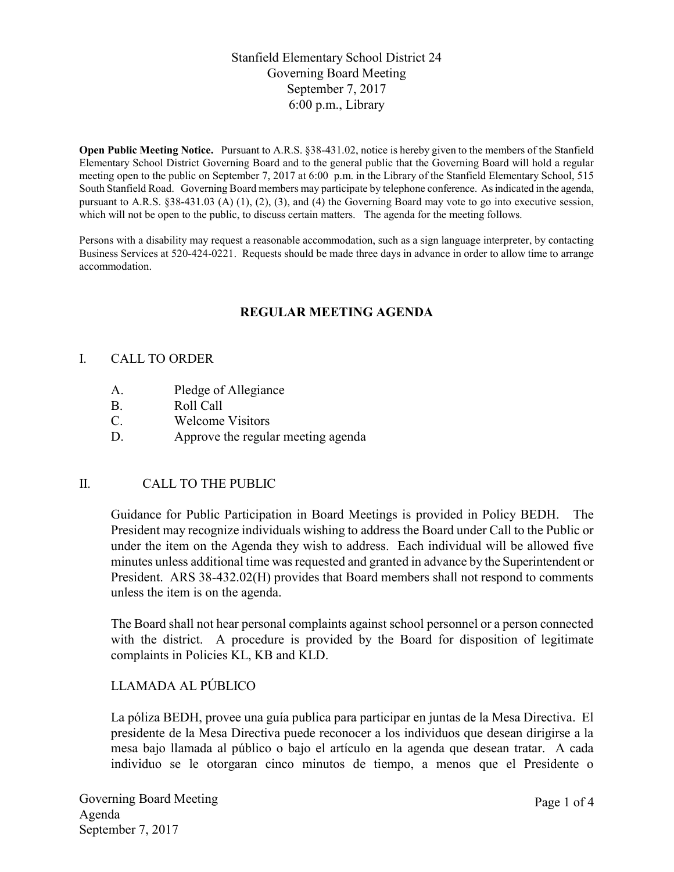# Stanfield Elementary School District 24 Governing Board Meeting September 7, 2017 6:00 p.m., Library

Open Public Meeting Notice. Pursuant to A.R.S. §38-431.02, notice is hereby given to the members of the Stanfield Elementary School District Governing Board and to the general public that the Governing Board will hold a regular meeting open to the public on September 7, 2017 at 6:00 p.m. in the Library of the Stanfield Elementary School, 515 South Stanfield Road. Governing Board members may participate by telephone conference. As indicated in the agenda, pursuant to A.R.S. §38-431.03 (A) (1), (2), (3), and (4) the Governing Board may vote to go into executive session, which will not be open to the public, to discuss certain matters. The agenda for the meeting follows.

Persons with a disability may request a reasonable accommodation, such as a sign language interpreter, by contacting Business Services at 520-424-0221. Requests should be made three days in advance in order to allow time to arrange accommodation.

# REGULAR MEETING AGENDA

### I. CALL TO ORDER

- A. Pledge of Allegiance
- B. Roll Call
- C. Welcome Visitors
- D. Approve the regular meeting agenda

### II. CALL TO THE PUBLIC

Guidance for Public Participation in Board Meetings is provided in Policy BEDH. The President may recognize individuals wishing to address the Board under Call to the Public or under the item on the Agenda they wish to address. Each individual will be allowed five minutes unless additional time was requested and granted in advance by the Superintendent or President. ARS 38-432.02(H) provides that Board members shall not respond to comments unless the item is on the agenda.

The Board shall not hear personal complaints against school personnel or a person connected with the district. A procedure is provided by the Board for disposition of legitimate complaints in Policies KL, KB and KLD.

# LLAMADA AL PÚBLICO

La póliza BEDH, provee una guía publica para participar en juntas de la Mesa Directiva. El presidente de la Mesa Directiva puede reconocer a los individuos que desean dirigirse a la mesa bajo llamada al público o bajo el artículo en la agenda que desean tratar. A cada individuo se le otorgaran cinco minutos de tiempo, a menos que el Presidente o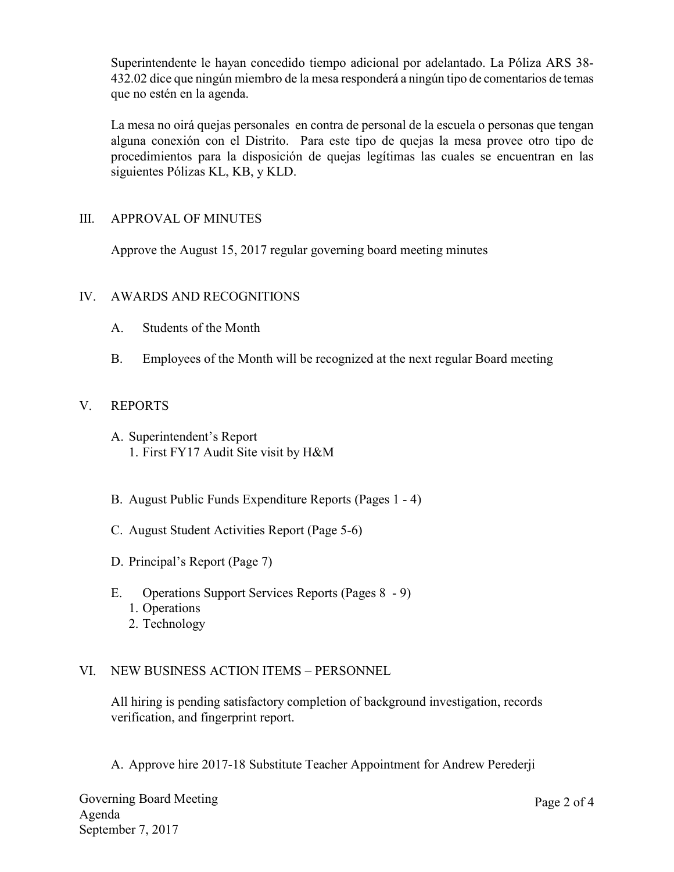Superintendente le hayan concedido tiempo adicional por adelantado. La Póliza ARS 38- 432.02 dice que ningún miembro de la mesa responderá a ningún tipo de comentarios de temas que no estén en la agenda.

La mesa no oirá quejas personales en contra de personal de la escuela o personas que tengan alguna conexión con el Distrito. Para este tipo de quejas la mesa provee otro tipo de procedimientos para la disposición de quejas legítimas las cuales se encuentran en las siguientes Pólizas KL, KB, y KLD.

## III. APPROVAL OF MINUTES

Approve the August 15, 2017 regular governing board meeting minutes

## IV. AWARDS AND RECOGNITIONS

- A. Students of the Month
- B. Employees of the Month will be recognized at the next regular Board meeting

## V. REPORTS

- A. Superintendent's Report 1. First FY17 Audit Site visit by H&M
- B. August Public Funds Expenditure Reports (Pages 1 4)
- C. August Student Activities Report (Page 5-6)
- D. Principal's Report (Page 7)
- E. Operations Support Services Reports (Pages 8 9)
	- 1. Operations
	- 2. Technology

# VI. NEW BUSINESS ACTION ITEMS – PERSONNEL

All hiring is pending satisfactory completion of background investigation, records verification, and fingerprint report.

A. Approve hire 2017-18 Substitute Teacher Appointment for Andrew Perederji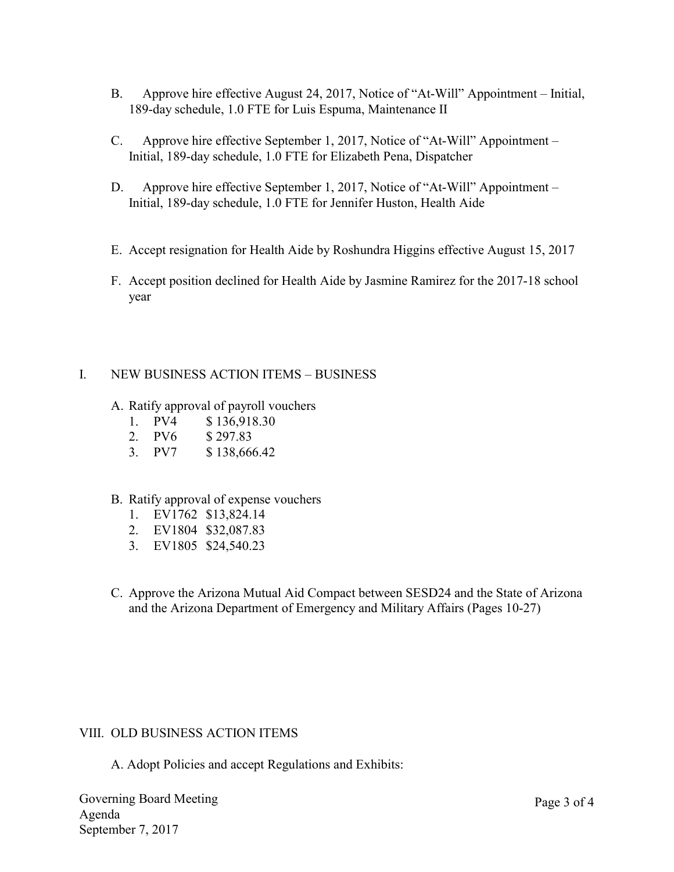- B. Approve hire effective August 24, 2017, Notice of "At-Will" Appointment Initial, 189-day schedule, 1.0 FTE for Luis Espuma, Maintenance II
- C. Approve hire effective September 1, 2017, Notice of "At-Will" Appointment Initial, 189-day schedule, 1.0 FTE for Elizabeth Pena, Dispatcher
- D. Approve hire effective September 1, 2017, Notice of "At-Will" Appointment Initial, 189-day schedule, 1.0 FTE for Jennifer Huston, Health Aide
- E. Accept resignation for Health Aide by Roshundra Higgins effective August 15, 2017
- F. Accept position declined for Health Aide by Jasmine Ramirez for the 2017-18 school year

# I. NEW BUSINESS ACTION ITEMS – BUSINESS

- A. Ratify approval of payroll vouchers
	- 1. PV4 \$ 136,918.30
	- 2. PV6 \$ 297.83
	- 3. PV7 \$ 138,666.42

### B. Ratify approval of expense vouchers

- 1. EV1762 \$13,824.14
- 2. EV1804 \$32,087.83
- 3. EV1805 \$24,540.23
- C. Approve the Arizona Mutual Aid Compact between SESD24 and the State of Arizona and the Arizona Department of Emergency and Military Affairs (Pages 10-27)

### VIII. OLD BUSINESS ACTION ITEMS

A. Adopt Policies and accept Regulations and Exhibits: